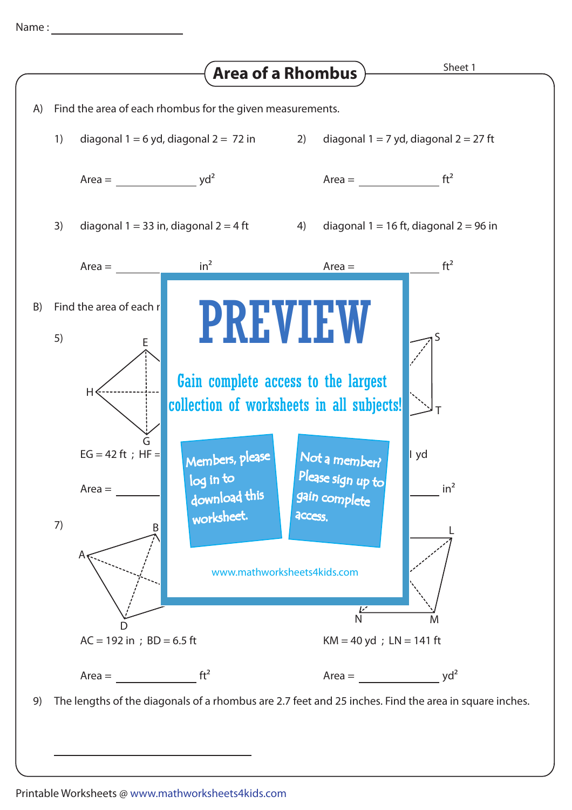